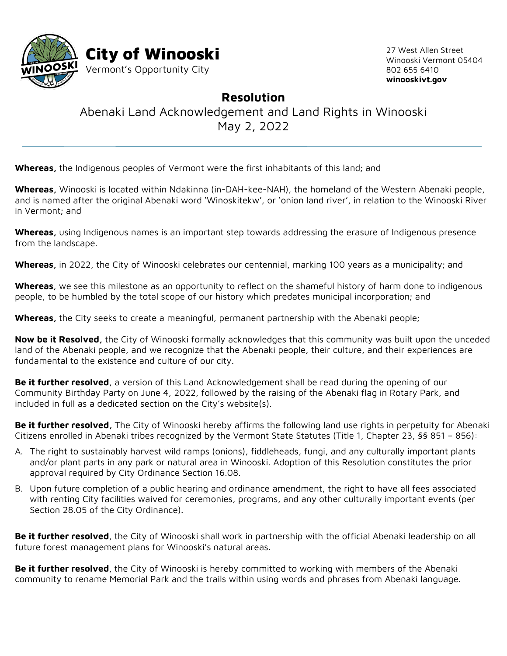

27 West Allen Street Winooski Vermont 05404 802 655 6410 **winooskivt.gov**

## **Resolution**

Abenaki Land Acknowledgement and Land Rights in Winooski May 2, 2022

**Whereas,** the Indigenous peoples of Vermont were the first inhabitants of this land; and

**Whereas,** Winooski is located within Ndakinna (in-DAH-kee-NAH), the homeland of the Western Abenaki people, and is named after the original Abenaki word 'Winoskitekw', or 'onion land river', in relation to the Winooski River in Vermont; and

**Whereas,** using Indigenous names is an important step towards addressing the erasure of Indigenous presence from the landscape.

**Whereas,** in 2022, the City of Winooski celebrates our centennial, marking 100 years as a municipality; and

**Whereas**, we see this milestone as an opportunity to reflect on the shameful history of harm done to indigenous people, to be humbled by the total scope of our history which predates municipal incorporation; and

**Whereas,** the City seeks to create a meaningful, permanent partnership with the Abenaki people;

**Now be it Resolved,** the City of Winooski formally acknowledges that this community was built upon the unceded land of the Abenaki people, and we recognize that the Abenaki people, their culture, and their experiences are fundamental to the existence and culture of our city.

**Be it further resolved**, a version of this Land Acknowledgement shall be read during the opening of our Community Birthday Party on June 4, 2022, followed by the raising of the Abenaki flag in Rotary Park, and included in full as a dedicated section on the City's website(s).

**Be it further resolved,** The City of Winooski hereby affirms the following land use rights in perpetuity for Abenaki Citizens enrolled in Abenaki tribes recognized by the Vermont State Statutes (Title 1, Chapter 23, §§ 851 – 856):

- A. The right to sustainably harvest wild ramps (onions), fiddleheads, fungi, and any culturally important plants and/or plant parts in any park or natural area in Winooski. Adoption of this Resolution constitutes the prior approval required by City Ordinance Section 16.08.
- B. Upon future completion of a public hearing and ordinance amendment, the right to have all fees associated with renting City facilities waived for ceremonies, programs, and any other culturally important events (per Section 28.05 of the City Ordinance).

**Be it further resolved**, the City of Winooski shall work in partnership with the official Abenaki leadership on all future forest management plans for Winooski's natural areas.

**Be it further resolved**, the City of Winooski is hereby committed to working with members of the Abenaki community to rename Memorial Park and the trails within using words and phrases from Abenaki language.